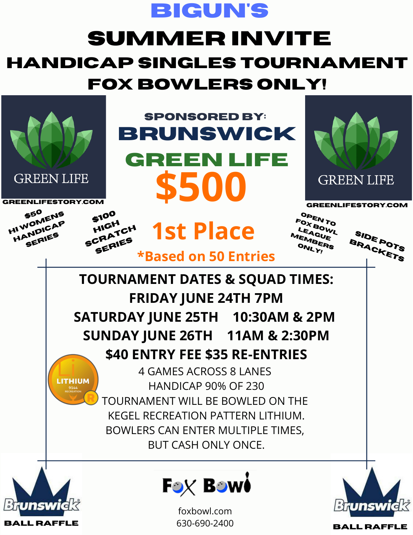

## **SUMMER INVITE HANDICAP SINGLES TOURNAMENT FOX BOWLERS ONLY!**